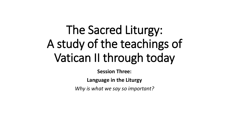# The Sacred Liturgy: A study of the teachings of Vatican II through today

**Session Three:**

**Language in the Liturgy**

*Why is what we say so important?*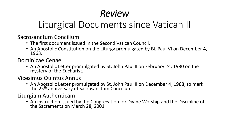# Liturgical Documents since Vatican II

Sacrosanctum Concilium

- The first document issued in the Second Vatican Council.
- An Apostolic Constitution on the Liturgy promulgated by Bl. Paul VI on December 4, 1963.

Dominicae Cenae

• An Apostolic Letter promulgated by St. John Paul II on February 24, 1980 on the mystery of the Eucharist.

Vicesimus Quintus Annus

• An Apostolic Letter promulgated by St. John Paul II on December 4, 1988, to mark the 25<sup>th</sup> anniversary of Sacrosanctum Concilium.

Liturgiam Authenticam

• An instruction issued by the Congregation for Divine Worship and the Discipline of the Sacraments on March 28, 2001.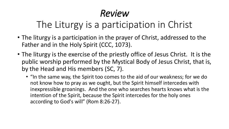## The Liturgy is a participation in Christ

- The liturgy is a participation in the prayer of Christ, addressed to the Father and in the Holy Spirit (CCC, 1073).
- The liturgy is the exercise of the priestly office of Jesus Christ. It is the public worship performed by the Mystical Body of Jesus Christ, that is, by the Head and His members (SC, 7).
	- "In the same way, the Spirit too comes to the aid of our weakness; for we do not know how to pray as we ought, but the Spirit himself intercedes with inexpressible groanings. And the one who searches hearts knows what is the intention of the Spirit, because the Spirit intercedes for the holy ones according to God's will" (Rom 8:26-27).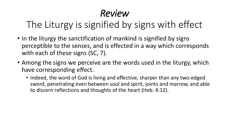# The Liturgy is signified by signs with effect

- In the liturgy the sanctification of mankind is signified by signs perceptible to the senses, and is effected in a way which corresponds with each of these signs (SC, 7).
- Among the signs we perceive are the words used in the liturgy, which have corresponding effect.
	- Indeed, the word of God is living and effective, sharper than any two-edged sword, penetrating even between soul and spirit, joints and marrow, and able to discern reflections and thoughts of the heart (Heb. 4:12).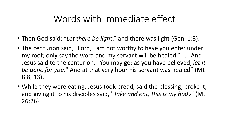#### Words with immediate effect

- Then God said: "*Let there be light*," and there was light (Gen. 1:3).
- The centurion said, "Lord, I am not worthy to have you enter under my roof; only say the word and my servant will be healed." … And Jesus said to the centurion, "You may go; as you have believed, *let it be done for you*." And at that very hour his servant was healed" (Mt 8:8, 13).
- While they were eating, Jesus took bread, said the blessing, broke it, and giving it to his disciples said, "*Take and eat; this is my body*" (Mt 26:26).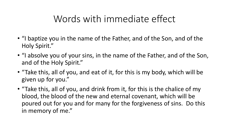### Words with immediate effect

- "I baptize you in the name of the Father, and of the Son, and of the Holy Spirit."
- "I absolve you of your sins, in the name of the Father, and of the Son, and of the Holy Spirit."
- "Take this, all of you, and eat of it, for this is my body, which will be given up for you."
- "Take this, all of you, and drink from it, for this is the chalice of my blood, the blood of the new and eternal covenant, which will be poured out for you and for many for the forgiveness of sins. Do this in memory of me."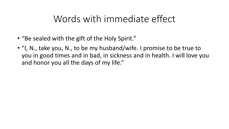#### Words with immediate effect

- "Be sealed with the gift of the Holy Spirit."
- "I, N., take you, N., to be my husband/wife. I promise to be true to you in good times and in bad, in sickness and in health. I will love you and honor you all the days of my life."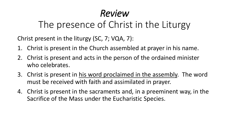### The presence of Christ in the Liturgy

Christ present in the liturgy (SC, 7; VQA, 7):

- 1. Christ is present in the Church assembled at prayer in his name.
- 2. Christ is present and acts in the person of the ordained minister who celebrates.
- 3. Christ is present in his word proclaimed in the assembly. The word must be received with faith and assimilated in prayer.
- 4. Christ is present in the sacraments and, in a preeminent way, in the Sacrifice of the Mass under the Eucharistic Species.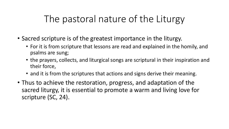- Sacred scripture is of the greatest importance in the liturgy.
	- For it is from scripture that lessons are read and explained in the homily, and psalms are sung;
	- the prayers, collects, and liturgical songs are scriptural in their inspiration and their force,
	- and it is from the scriptures that actions and signs derive their meaning.
- Thus to achieve the restoration, progress, and adaptation of the sacred liturgy, it is essential to promote a warm and living love for scripture (SC, 24).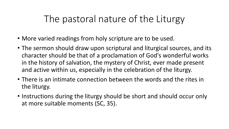- More varied readings from holy scripture are to be used.
- The sermon should draw upon scriptural and liturgical sources, and its character should be that of a proclamation of God's wonderful works in the history of salvation, the mystery of Christ, ever made present and active within us, especially in the celebration of the liturgy.
- There is an intimate connection between the words and the rites in the liturgy.
- Instructions during the liturgy should be short and should occur only at more suitable moments (SC, 35).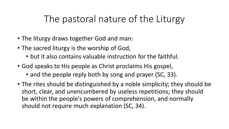- The liturgy draws together God and man:
- The sacred liturgy is the worship of God,
	- but it also contains valuable instruction for the faithful.
- God speaks to His people as Christ proclaims His gospel,
	- and the people reply both by song and prayer (SC, 33).
- The rites should be distinguished by a noble simplicity; they should be short, clear, and unencumbered by useless repetitions; they should be within the people's powers of comprehension, and normally should not require much explanation (SC, 34).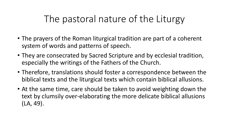- The prayers of the Roman liturgical tradition are part of a coherent system of words and patterns of speech.
- They are consecrated by Sacred Scripture and by ecclesial tradition, especially the writings of the Fathers of the Church.
- Therefore, translations should foster a correspondence between the biblical texts and the liturgical texts which contain biblical allusions.
- At the same time, care should be taken to avoid weighting down the text by clumsily over-elaborating the more delicate biblical allusions (LA, 49).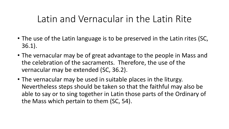- The use of the Latin language is to be preserved in the Latin rites (SC, 36.1).
- The vernacular may be of great advantage to the people in Mass and the celebration of the sacraments. Therefore, the use of the vernacular may be extended (SC, 36.2).
- The vernacular may be used in suitable places in the liturgy. Nevertheless steps should be taken so that the faithful may also be able to say or to sing together in Latin those parts of the Ordinary of the Mass which pertain to them (SC, 54).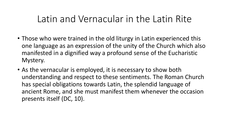- Those who were trained in the old liturgy in Latin experienced this one language as an expression of the unity of the Church which also manifested in a dignified way a profound sense of the Eucharistic Mystery.
- As the vernacular is employed, it is necessary to show both understanding and respect to these sentiments. The Roman Church has special obligations towards Latin, the splendid language of ancient Rome, and she must manifest them whenever the occasion presents itself (DC, 10).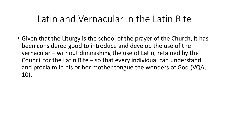• Given that the Liturgy is the school of the prayer of the Church, it has been considered good to introduce and develop the use of the vernacular – without diminishing the use of Latin, retained by the Council for the Latin Rite – so that every individual can understand and proclaim in his or her mother tongue the wonders of God (VQA, 10).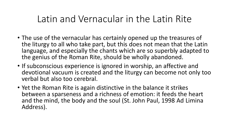- The use of the vernacular has certainly opened up the treasures of the liturgy to all who take part, but this does not mean that the Latin language, and especially the chants which are so superbly adapted to the genius of the Roman Rite, should be wholly abandoned.
- If subconscious experience is ignored in worship, an affective and devotional vacuum is created and the liturgy can become not only too verbal but also too cerebral.
- Yet the Roman Rite is again distinctive in the balance it strikes between a sparseness and a richness of emotion: it feeds the heart and the mind, the body and the soul (St. John Paul, 1998 Ad Limina Address).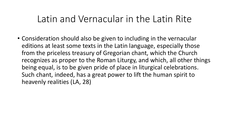• Consideration should also be given to including in the vernacular editions at least some texts in the Latin language, especially those from the priceless treasury of Gregorian chant, which the Church recognizes as proper to the Roman Liturgy, and which, all other things being equal, is to be given pride of place in liturgical celebrations. Such chant, indeed, has a great power to lift the human spirit to heavenly realities (LA, 28)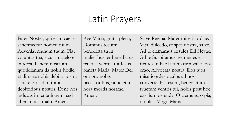### Latin Prayers

Pater Noster, qui es in caelis, sanctificetur nomen tuum. Adveniat regnum tuum. Fiat voluntas tua, sicut in caelo et in terra. Panem nostrum quotidianum da nobis hodie, et dimitte nobis debita nostra sicut et nos dimittimus debitoribus nostris. Et ne nos inducas in tentationem, sed libera nos a malo. Amen.

Ave Maria, gratia plena; Dominus tecum: benedicta tu in mulieribus, et benedictus fructus ventris tui Iesus. Sancta Maria, Mater Dei ora pro nobis peccatoribus, nunc et in hora mortis nostrae. Amen.

Salve Regina, Mater misericordiae. Vita, dulcedo, et spes nostra, salve. Ad te clamamus exsules filii Hevae. Ad te Suspiramus, gementes et flentes in hac lacrimarum valle. Eia ergo, Advocata nostra, illos tuos misericordes oculos ad nos converte. Et Iesum, benedictum fructum ventris tui, nobis post hoc exsilium ostende. O clemens, o pia, o dulcis Virgo Maria.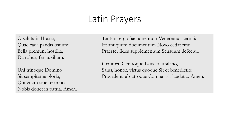### Latin Prayers

O salutaris Hostia, Quae caeli pandis ostium: Bella premunt hostilia, Da robur, fer auxilium.

Uni trinoque Domino Sit sempiterna gloria, Qui vitam sine termino Nobis donet in patria. Amen. Tantum ergo Sacramentum Veneremur cernui: Et antiquum documentum Novo cedat ritui: Praestet fides supplementum Sensuum defectui.

Genitori, Genitoque Laus et jubilatio, Salus, honor, virtus quoque Sit et benedictio: Procedenti ab utroque Compar sit laudatio. Amen.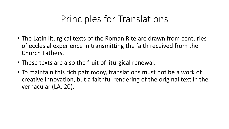- The Latin liturgical texts of the Roman Rite are drawn from centuries of ecclesial experience in transmitting the faith received from the Church Fathers.
- These texts are also the fruit of liturgical renewal.
- To maintain this rich patrimony, translations must not be a work of creative innovation, but a faithful rendering of the original text in the vernacular (LA, 20).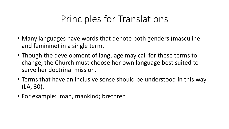- Many languages have words that denote both genders (masculine and feminine) in a single term.
- Though the development of language may call for these terms to change, the Church must choose her own language best suited to serve her doctrinal mission.
- Terms that have an inclusive sense should be understood in this way (LA, 30).
- For example: man, mankind; brethren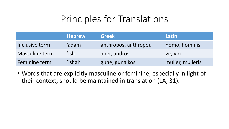|                | <b>Hebrew</b> | <b>Greek</b>         | Latin            |
|----------------|---------------|----------------------|------------------|
| Inclusive term | 'adam         | anthropos, anthropou | homo, hominis    |
| Masculine term | 'ish          | aner, andros         | vir, viri        |
| Feminine term  | 'ishah        | gune, gunaikos       | mulier, mulieris |

• Words that are explicitly masculine or feminine, especially in light of their context, should be maintained in translation (LA, 31).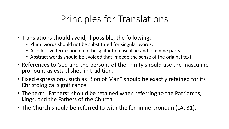- Translations should avoid, if possible, the following:
	- Plural words should not be substituted for singular words;
	- A collective term should not be split into masculine and feminine parts
	- Abstract words should be avoided that impede the sense of the original text.
- References to God and the persons of the Trinity should use the masculine pronouns as established in tradition.
- Fixed expressions, such as "Son of Man" should be exactly retained for its Christological significance.
- The term "Fathers" should be retained when referring to the Patriarchs, kings, and the Fathers of the Church.
- The Church should be referred to with the feminine pronoun (LA, 31).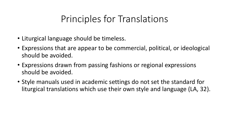- Liturgical language should be timeless.
- Expressions that are appear to be commercial, political, or ideological should be avoided.
- Expressions drawn from passing fashions or regional expressions should be avoided.
- Style manuals used in academic settings do not set the standard for liturgical translations which use their own style and language (LA, 32).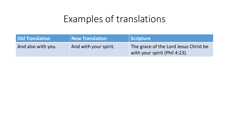| Old Translation    | New Translation       | Scripture                                                              |
|--------------------|-----------------------|------------------------------------------------------------------------|
| And also with you. | And with your spirit. | The grace of the Lord Jesus Christ be<br>with your spirit (Phil 4:23). |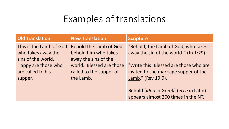| <b>Old Translation</b>  | <b>New Translation</b>   | <b>Scripture</b>                                       |
|-------------------------|--------------------------|--------------------------------------------------------|
| This is the Lamb of God | Behold the Lamb of God,  | "Behold, the Lamb of God, who takes                    |
| who takes away the      | behold him who takes     | away the sin of the world!" (Jn 1:29).                 |
| sins of the world.      | away the sins of the     |                                                        |
| Happy are those who     | world. Blessed are those | "Write this: Blessed are those who are                 |
| are called to his       | called to the supper of  | invited to the marriage supper of the                  |
| supper.                 | the Lamb.                | Lamb." (Rev 19:9).                                     |
|                         |                          |                                                        |
|                         |                          | Behold ( <i>idou</i> in Greek) ( <i>ecce</i> in Latin) |
|                         |                          | appears almost 200 times in the NT.                    |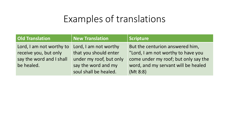| Old Translation                                                                             | New Translation                                                                                                           | <b>Scripture</b>                                                                                                                                                 |
|---------------------------------------------------------------------------------------------|---------------------------------------------------------------------------------------------------------------------------|------------------------------------------------------------------------------------------------------------------------------------------------------------------|
| Lord, I am not worthy to<br>receive you, but only<br>say the word and I shall<br>be healed. | Lord, I am not worthy<br>that you should enter<br>under my roof, but only<br>say the word and my<br>soul shall be healed. | But the centurion answered him,<br>"Lord, I am not worthy to have you<br>come under my roof; but only say the<br>word, and my servant will be healed<br>(Mt 8:8) |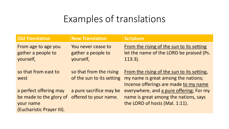| <b>Old Translation</b>                                 | <b>New Translation</b>                                | <b>Scripture</b>                                                                                                           |
|--------------------------------------------------------|-------------------------------------------------------|----------------------------------------------------------------------------------------------------------------------------|
| From age to age you<br>gather a people to<br>yourself, | You never cease to<br>gather a people to<br>yourself, | From the rising of the sun to its setting<br>let the name of the LORD be praised (Ps.<br>$113:3$ ).                        |
| so that from east to<br>west                           | so that from the rising<br>of the sun to its setting  | From the rising of the sun to its setting,<br>my name is great among the nations;<br>Incense offerings are made to my name |
| a perfect offering may<br>be made to the glory of      | a pure sacrifice may be<br>offered to your name.      | everywhere, and a pure offering; For my<br>name is great among the nations, says                                           |
| your name<br>(Eucharistic Prayer III).                 |                                                       | the LORD of hosts (Mal. 1:11).                                                                                             |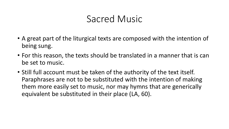- A great part of the liturgical texts are composed with the intention of being sung.
- For this reason, the texts should be translated in a manner that is can be set to music.
- Still full account must be taken of the authority of the text itself. Paraphrases are not to be substituted with the intention of making them more easily set to music, nor may hymns that are generically equivalent be substituted in their place (LA, 60).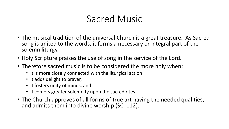- The musical tradition of the universal Church is a great treasure. As Sacred song is united to the words, it forms a necessary or integral part of the solemn liturgy.
- Holy Scripture praises the use of song in the service of the Lord.
- Therefore sacred music is to be considered the more holy when:
	- It is more closely connected with the liturgical action
	- It adds delight to prayer,
	- It fosters unity of minds, and
	- It confers greater solemnity upon the sacred rites.
- The Church approves of all forms of true art having the needed qualities, and admits them into divine worship (SC, 112).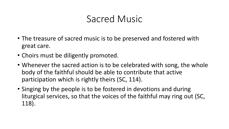- The treasure of sacred music is to be preserved and fostered with great care.
- Choirs must be diligently promoted.
- Whenever the sacred action is to be celebrated with song, the whole body of the faithful should be able to contribute that active participation which is rightly theirs (SC, 114).
- Singing by the people is to be fostered in devotions and during liturgical services, so that the voices of the faithful may ring out (SC, 118).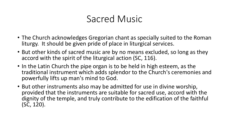- The Church acknowledges Gregorian chant as specially suited to the Roman liturgy. It should be given pride of place in liturgical services.
- But other kinds of sacred music are by no means excluded, so long as they accord with the spirit of the liturgical action (SC, 116).
- In the Latin Church the pipe organ is to be held in high esteem, as the traditional instrument which adds splendor to the Church's ceremonies and powerfully lifts up man's mind to God.
- But other instruments also may be admitted for use in divine worship, provided that the instruments are suitable for sacred use, accord with the dignity of the temple, and truly contribute to the edification of the faithful (SC, 120).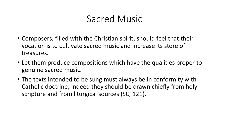- Composers, filled with the Christian spirit, should feel that their vocation is to cultivate sacred music and increase its store of treasures.
- Let them produce compositions which have the qualities proper to genuine sacred music.
- The texts intended to be sung must always be in conformity with Catholic doctrine; indeed they should be drawn chiefly from holy scripture and from liturgical sources (SC, 121).